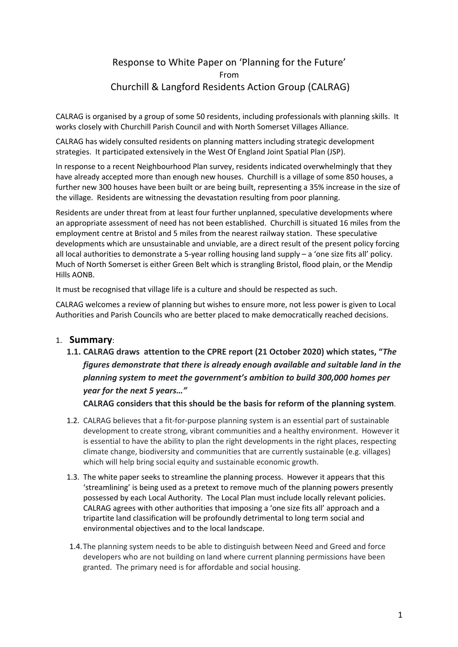# Response to White Paper on 'Planning for the Future' From Churchill & Langford Residents Action Group (CALRAG)

CALRAG is organised by a group of some 50 residents, including professionals with planning skills. It works closely with Churchill Parish Council and with North Somerset Villages Alliance.

CALRAG has widely consulted residents on planning matters including strategic development strategies. It participated extensively in the West Of England Joint Spatial Plan (JSP).

In response to a recent Neighbourhood Plan survey, residents indicated overwhelmingly that they have already accepted more than enough new houses. Churchill is a village of some 850 houses, a further new 300 houses have been built or are being built, representing a 35% increase in the size of the village. Residents are witnessing the devastation resulting from poor planning.

Residents are under threat from at least four further unplanned, speculative developments where an appropriate assessment of need has not been established. Churchill is situated 16 miles from the employment centre at Bristol and 5 miles from the nearest railway station. These speculative developments which are unsustainable and unviable, are a direct result of the present policy forcing all local authorities to demonstrate a 5-year rolling housing land supply – a 'one size fits all' policy. Much of North Somerset is either Green Belt which is strangling Bristol, flood plain, or the Mendip Hills AONB.

It must be recognised that village life is a culture and should be respected as such.

CALRAG welcomes a review of planning but wishes to ensure more, not less power is given to Local Authorities and Parish Councils who are better placed to make democratically reached decisions.

### 1. **Summary**:

**1.1. CALRAG draws attention to the CPRE report (21 October 2020) which states, "***The figures demonstrate that there is already enough available and suitable land in the planning system to meet the government's ambition to build 300,000 homes per year for the next 5 years…"*

**CALRAG considers that this should be the basis for reform of the planning system**.

- 1.2. CALRAG believes that a fit-for-purpose planning system is an essential part of sustainable development to create strong, vibrant communities and a healthy environment. However it is essential to have the ability to plan the right developments in the right places, respecting climate change, biodiversity and communities that are currently sustainable (e.g. villages) which will help bring social equity and sustainable economic growth.
- 1.3. The white paper seeks to streamline the planning process. However it appears that this 'streamlining' is being used as a pretext to remove much of the planning powers presently possessed by each Local Authority. The Local Plan must include locally relevant policies. CALRAG agrees with other authorities that imposing a 'one size fits all' approach and a tripartite land classification will be profoundly detrimental to long term social and environmental objectives and to the local landscape.
- 1.4.The planning system needs to be able to distinguish between Need and Greed and force developers who are not building on land where current planning permissions have been granted. The primary need is for affordable and social housing.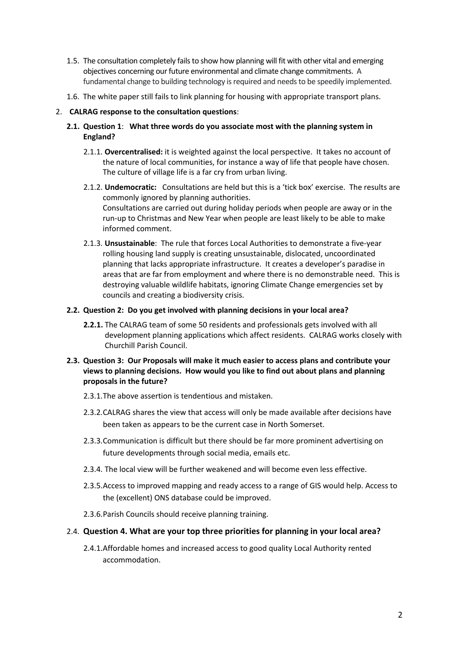- 1.5. The consultation completely fails to show how planning will fit with other vital and emerging objectives concerning our future environmental and climate change commitments. A fundamental change to building technology is required and needs to be speedily implemented.
- 1.6. The white paper still fails to link planning for housing with appropriate transport plans.

### 2. **CALRAG response to the consultation questions**:

- **2.1. Question 1**: **What three words do you associate most with the planning system in England?**
	- 2.1.1. **Overcentralised:** it is weighted against the local perspective. It takes no account of the nature of local communities, for instance a way of life that people have chosen. The culture of village life is a far cry from urban living.
	- 2.1.2. **Undemocratic:** Consultations are held but this is a 'tick box' exercise. The results are commonly ignored by planning authorities. Consultations are carried out during holiday periods when people are away or in the run-up to Christmas and New Year when people are least likely to be able to make informed comment.
	- 2.1.3. **Unsustainable**: The rule that forces Local Authorities to demonstrate a five-year rolling housing land supply is creating unsustainable, dislocated, uncoordinated planning that lacks appropriate infrastructure. It creates a developer's paradise in areas that are far from employment and where there is no demonstrable need. This is destroying valuable wildlife habitats, ignoring Climate Change emergencies set by councils and creating a biodiversity crisis.

#### **2.2. Question 2: Do you get involved with planning decisions in your local area?**

- **2.2.1.** The CALRAG team of some 50 residents and professionals gets involved with all development planning applications which affect residents. CALRAG works closely with Churchill Parish Council.
- **2.3. Question 3: Our Proposals will make it much easier to access plans and contribute your views to planning decisions. How would you like to find out about plans and planning proposals in the future?**
	- 2.3.1.The above assertion is tendentious and mistaken.
	- 2.3.2.CALRAG shares the view that access will only be made available after decisions have been taken as appears to be the current case in North Somerset.
	- 2.3.3.Communication is difficult but there should be far more prominent advertising on future developments through social media, emails etc.
	- 2.3.4. The local view will be further weakened and will become even less effective.
	- 2.3.5.Access to improved mapping and ready access to a range of GIS would help. Access to the (excellent) ONS database could be improved.
	- 2.3.6.Parish Councils should receive planning training.

### 2.4. **Question 4. What are your top three priorities for planning in your local area?**

2.4.1.Affordable homes and increased access to good quality Local Authority rented accommodation.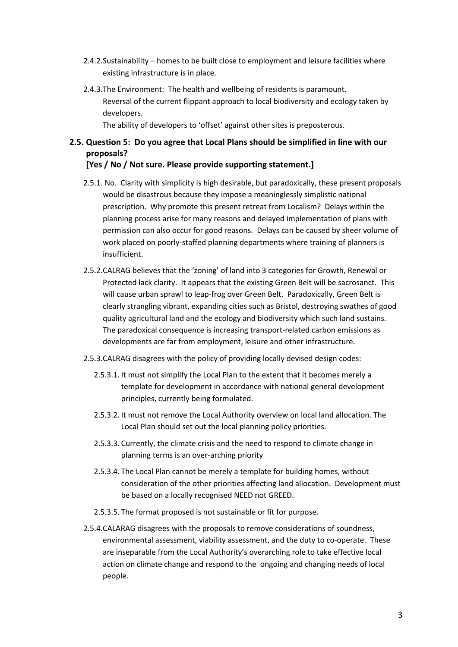- 2.4.2.Sustainability homes to be built close to employment and leisure facilities where existing infrastructure is in place.
- 2.4.3.The Environment: The health and wellbeing of residents is paramount. Reversal of the current flippant approach to local biodiversity and ecology taken by developers.

The ability of developers to 'offset' against other sites is preposterous.

### **2.5. Question 5: Do you agree that Local Plans should be simplified in line with our proposals?**

#### **[Yes / No / Not sure. Please provide supporting statement.]**

- 2.5.1. No. Clarity with simplicity is high desirable, but paradoxically, these present proposals would be disastrous because they impose a meaninglessly simplistic national prescription. Why promote this present retreat from Localism? Delays within the planning process arise for many reasons and delayed implementation of plans with permission can also occur for good reasons. Delays can be caused by sheer volume of work placed on poorly-staffed planning departments where training of planners is insufficient.
- 2.5.2.CALRAG believes that the 'zoning' of land into 3 categories for Growth, Renewal or Protected lack clarity. It appears that the existing Green Belt will be sacrosanct. This will cause urban sprawl to leap-frog over Green Belt. Paradoxically, Green Belt is clearly strangling vibrant, expanding cities such as Bristol, destroying swathes of good quality agricultural land and the ecology and biodiversity which such land sustains. The paradoxical consequence is increasing transport-related carbon emissions as developments are far from employment, leisure and other infrastructure.
- 2.5.3.CALRAG disagrees with the policy of providing locally devised design codes:
	- 2.5.3.1. It must not simplify the Local Plan to the extent that it becomes merely a template for development in accordance with national general development principles, currently being formulated.
	- 2.5.3.2. It must not remove the Local Authority overview on local land allocation. The Local Plan should set out the local planning policy priorities.
	- 2.5.3.3. Currently, the climate crisis and the need to respond to climate change in planning terms is an over-arching priority
	- 2.5.3.4. The Local Plan cannot be merely a template for building homes, without consideration of the other priorities affecting land allocation. Development must be based on a locally recognised NEED not GREED.
	- 2.5.3.5. The format proposed is not sustainable or fit for purpose.
- 2.5.4.CALARAG disagrees with the proposals to remove considerations of soundness, environmental assessment, viability assessment, and the duty to co-operate. These are inseparable from the Local Authority's overarching role to take effective local action on climate change and respond to the ongoing and changing needs of local people.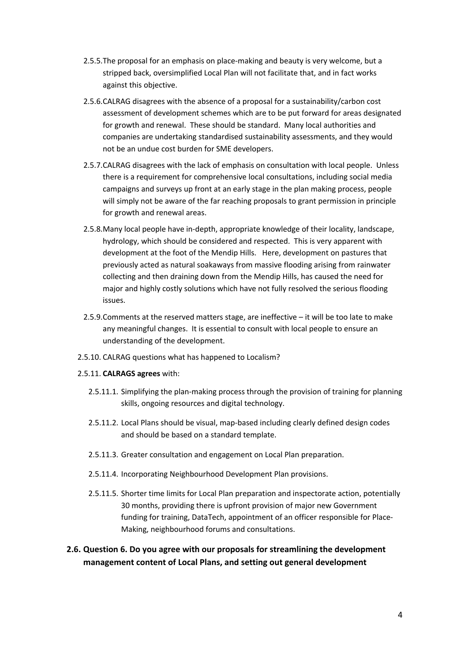- 2.5.5.The proposal for an emphasis on place-making and beauty is very welcome, but a stripped back, oversimplified Local Plan will not facilitate that, and in fact works against this objective.
- 2.5.6.CALRAG disagrees with the absence of a proposal for a sustainability/carbon cost assessment of development schemes which are to be put forward for areas designated for growth and renewal. These should be standard. Many local authorities and companies are undertaking standardised sustainability assessments, and they would not be an undue cost burden for SME developers.
- 2.5.7.CALRAG disagrees with the lack of emphasis on consultation with local people. Unless there is a requirement for comprehensive local consultations, including social media campaigns and surveys up front at an early stage in the plan making process, people will simply not be aware of the far reaching proposals to grant permission in principle for growth and renewal areas.
- 2.5.8.Many local people have in-depth, appropriate knowledge of their locality, landscape, hydrology, which should be considered and respected. This is very apparent with development at the foot of the Mendip Hills. Here, development on pastures that previously acted as natural soakaways from massive flooding arising from rainwater collecting and then draining down from the Mendip Hills, has caused the need for major and highly costly solutions which have not fully resolved the serious flooding issues.
- 2.5.9.Comments at the reserved matters stage, are ineffective it will be too late to make any meaningful changes. It is essential to consult with local people to ensure an understanding of the development.
- 2.5.10. CALRAG questions what has happened to Localism?
- 2.5.11. **CALRAGS agrees** with:
	- 2.5.11.1. Simplifying the plan-making process through the provision of training for planning skills, ongoing resources and digital technology.
	- 2.5.11.2. Local Plans should be visual, map-based including clearly defined design codes and should be based on a standard template.
	- 2.5.11.3. Greater consultation and engagement on Local Plan preparation.
	- 2.5.11.4. Incorporating Neighbourhood Development Plan provisions.
	- 2.5.11.5. Shorter time limits for Local Plan preparation and inspectorate action, potentially 30 months, providing there is upfront provision of major new Government funding for training, DataTech, appointment of an officer responsible for Place-Making, neighbourhood forums and consultations.
- **2.6. Question 6. Do you agree with our proposals for streamlining the development management content of Local Plans, and setting out general development**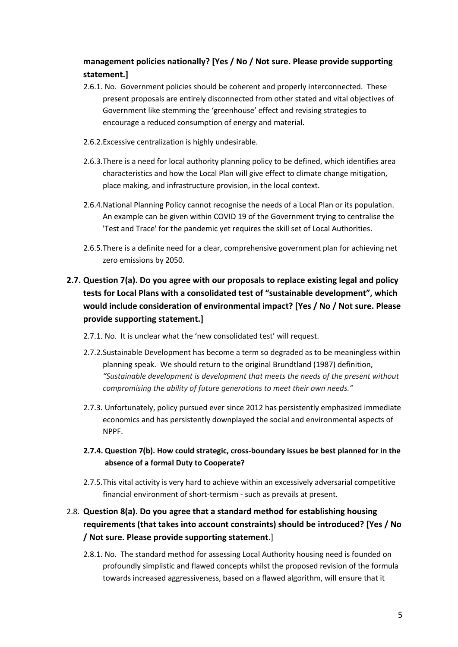## **management policies nationally? [Yes / No / Not sure. Please provide supporting statement.]**

- 2.6.1. No. Government policies should be coherent and properly interconnected. These present proposals are entirely disconnected from other stated and vital objectives of Government like stemming the 'greenhouse' effect and revising strategies to encourage a reduced consumption of energy and material.
- 2.6.2.Excessive centralization is highly undesirable.
- 2.6.3.There is a need for local authority planning policy to be defined, which identifies area characteristics and how the Local Plan will give effect to climate change mitigation, place making, and infrastructure provision, in the local context.
- 2.6.4.National Planning Policy cannot recognise the needs of a Local Plan or its population. An example can be given within COVID 19 of the Government trying to centralise the 'Test and Trace' for the pandemic yet requires the skill set of Local Authorities.
- 2.6.5.There is a definite need for a clear, comprehensive government plan for achieving net zero emissions by 2050.

# **2.7. Question 7(a). Do you agree with our proposals to replace existing legal and policy tests for Local Plans with a consolidated test of "sustainable development", which would include consideration of environmental impact? [Yes / No / Not sure. Please provide supporting statement.]**

- 2.7.1. No. It is unclear what the 'new consolidated test' will request.
- 2.7.2.Sustainable Development has become a term so degraded as to be meaningless within planning speak. We should return to the original Brundtland (1987) definition, *"Sustainable development is development that meets the needs of the present without compromising the ability of future generations to meet their own needs."*
- 2.7.3. Unfortunately, policy pursued ever since 2012 has persistently emphasized immediate economics and has persistently downplayed the social and environmental aspects of NPPF.
- **2.7.4. Question 7(b). How could strategic, cross-boundary issues be best planned for in the absence of a formal Duty to Cooperate?**
- 2.7.5.This vital activity is very hard to achieve within an excessively adversarial competitive financial environment of short-termism - such as prevails at present.

## 2.8. **Question 8(a). Do you agree that a standard method for establishing housing requirements (that takes into account constraints) should be introduced? [Yes / No / Not sure. Please provide supporting statement**.]

2.8.1. No. The standard method for assessing Local Authority housing need is founded on profoundly simplistic and flawed concepts whilst the proposed revision of the formula towards increased aggressiveness, based on a flawed algorithm, will ensure that it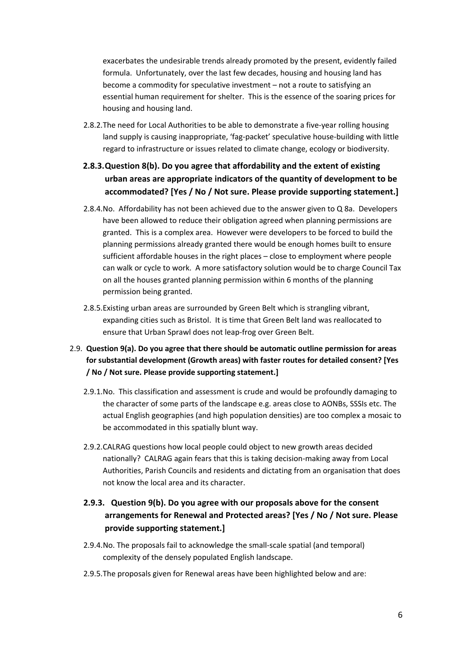exacerbates the undesirable trends already promoted by the present, evidently failed formula. Unfortunately, over the last few decades, housing and housing land has become a commodity for speculative investment – not a route to satisfying an essential human requirement for shelter. This is the essence of the soaring prices for housing and housing land.

- 2.8.2.The need for Local Authorities to be able to demonstrate a five-year rolling housing land supply is causing inappropriate, 'fag-packet' speculative house-building with little regard to infrastructure or issues related to climate change, ecology or biodiversity.
- **2.8.3.Question 8(b). Do you agree that affordability and the extent of existing urban areas are appropriate indicators of the quantity of development to be accommodated? [Yes / No / Not sure. Please provide supporting statement.]**
- 2.8.4.No. Affordability has not been achieved due to the answer given to Q 8a. Developers have been allowed to reduce their obligation agreed when planning permissions are granted. This is a complex area. However were developers to be forced to build the planning permissions already granted there would be enough homes built to ensure sufficient affordable houses in the right places – close to employment where people can walk or cycle to work. A more satisfactory solution would be to charge Council Tax on all the houses granted planning permission within 6 months of the planning permission being granted.
- 2.8.5.Existing urban areas are surrounded by Green Belt which is strangling vibrant, expanding cities such as Bristol. It is time that Green Belt land was reallocated to ensure that Urban Sprawl does not leap-frog over Green Belt.
- 2.9. **Question 9(a). Do you agree that there should be automatic outline permission for areas for substantial development (Growth areas) with faster routes for detailed consent? [Yes / No / Not sure. Please provide supporting statement.]** 
	- 2.9.1.No. This classification and assessment is crude and would be profoundly damaging to the character of some parts of the landscape e.g. areas close to AONBs, SSSIs etc. The actual English geographies (and high population densities) are too complex a mosaic to be accommodated in this spatially blunt way.
	- 2.9.2.CALRAG questions how local people could object to new growth areas decided nationally? CALRAG again fears that this is taking decision-making away from Local Authorities, Parish Councils and residents and dictating from an organisation that does not know the local area and its character.

## **2.9.3. Question 9(b). Do you agree with our proposals above for the consent arrangements for Renewal and Protected areas? [Yes / No / Not sure. Please provide supporting statement.]**

- 2.9.4.No. The proposals fail to acknowledge the small-scale spatial (and temporal) complexity of the densely populated English landscape.
- 2.9.5.The proposals given for Renewal areas have been highlighted below and are: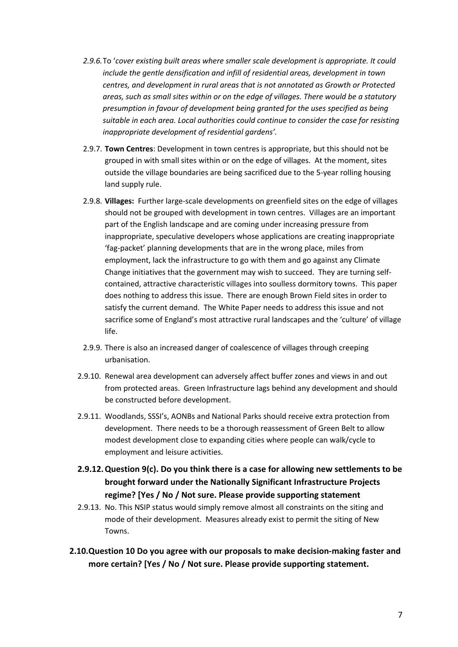- *2.9.6.*To '*cover existing built areas where smaller scale development is appropriate. It could include the gentle densification and infill of residential areas, development in town centres, and development in rural areas that is not annotated as Growth or Protected areas, such as small sites within or on the edge of villages. There would be a statutory presumption in favour of development being granted for the uses specified as being suitable in each area. Local authorities could continue to consider the case for resisting inappropriate development of residential gardens'.*
- 2.9.7. **Town Centres**: Development in town centres is appropriate, but this should not be grouped in with small sites within or on the edge of villages. At the moment, sites outside the village boundaries are being sacrificed due to the 5-year rolling housing land supply rule.
- 2.9.8. **Villages:** Further large-scale developments on greenfield sites on the edge of villages should not be grouped with development in town centres. Villages are an important part of the English landscape and are coming under increasing pressure from inappropriate, speculative developers whose applications are creating inappropriate 'fag-packet' planning developments that are in the wrong place, miles from employment, lack the infrastructure to go with them and go against any Climate Change initiatives that the government may wish to succeed. They are turning selfcontained, attractive characteristic villages into soulless dormitory towns. This paper does nothing to address this issue. There are enough Brown Field sites in order to satisfy the current demand. The White Paper needs to address this issue and not sacrifice some of England's most attractive rural landscapes and the 'culture' of village life.
- 2.9.9. There is also an increased danger of coalescence of villages through creeping urbanisation.
- 2.9.10. Renewal area development can adversely affect buffer zones and views in and out from protected areas. Green Infrastructure lags behind any development and should be constructed before development.
- 2.9.11. Woodlands, SSSI's, AONBs and National Parks should receive extra protection from development. There needs to be a thorough reassessment of Green Belt to allow modest development close to expanding cities where people can walk/cycle to employment and leisure activities.
- **2.9.12.Question 9(c). Do you think there is a case for allowing new settlements to be brought forward under the Nationally Significant Infrastructure Projects regime? [Yes / No / Not sure. Please provide supporting statement**
- 2.9.13. No. This NSIP status would simply remove almost all constraints on the siting and mode of their development. Measures already exist to permit the siting of New Towns.
- **2.10.Question 10 Do you agree with our proposals to make decision-making faster and more certain? [Yes / No / Not sure. Please provide supporting statement.**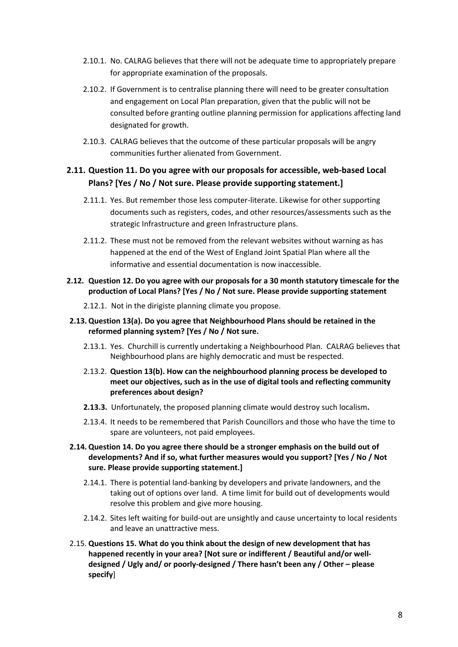- 2.10.1. No. CALRAG believes that there will not be adequate time to appropriately prepare for appropriate examination of the proposals.
- 2.10.2. If Government is to centralise planning there will need to be greater consultation and engagement on Local Plan preparation, given that the public will not be consulted before granting outline planning permission for applications affecting land designated for growth.
- 2.10.3. CALRAG believes that the outcome of these particular proposals will be angry communities further alienated from Government.

### **2.11. Question 11. Do you agree with our proposals for accessible, web-based Local Plans? [Yes / No / Not sure. Please provide supporting statement.]**

- 2.11.1. Yes. But remember those less computer-literate. Likewise for other supporting documents such as registers, codes, and other resources/assessments such as the strategic Infrastructure and green Infrastructure plans.
- 2.11.2. These must not be removed from the relevant websites without warning as has happened at the end of the West of England Joint Spatial Plan where all the informative and essential documentation is now inaccessible.
- **2.12. Question 12. Do you agree with our proposals for a 30 month statutory timescale for the production of Local Plans? [Yes / No / Not sure. Please provide supporting statement**
	- 2.12.1. Not in the dirigiste planning climate you propose.
- **2.13. Question 13(a). Do you agree that Neighbourhood Plans should be retained in the reformed planning system? [Yes / No / Not sure.** 
	- 2.13.1. Yes. Churchill is currently undertaking a Neighbourhood Plan. CALRAG believes that Neighbourhood plans are highly democratic and must be respected.
	- 2.13.2. **Question 13(b). How can the neighbourhood planning process be developed to meet our objectives, such as in the use of digital tools and reflecting community preferences about design?**
	- **2.13.3.** Unfortunately, the proposed planning climate would destroy such localism**.**
	- 2.13.4. It needs to be remembered that Parish Councillors and those who have the time to spare are volunteers, not paid employees.
- **2.14. Question 14. Do you agree there should be a stronger emphasis on the build out of developments? And if so, what further measures would you support? [Yes / No / Not sure. Please provide supporting statement.]**
	- 2.14.1. There is potential land-banking by developers and private landowners, and the taking out of options over land. A time limit for build out of developments would resolve this problem and give more housing.
	- 2.14.2. Sites left waiting for build-out are unsightly and cause uncertainty to local residents and leave an unattractive mess.
- 2.15. **Questions 15. What do you think about the design of new development that has happened recently in your area? [Not sure or indifferent / Beautiful and/or welldesigned / Ugly and/ or poorly-designed / There hasn't been any / Other – please specify**]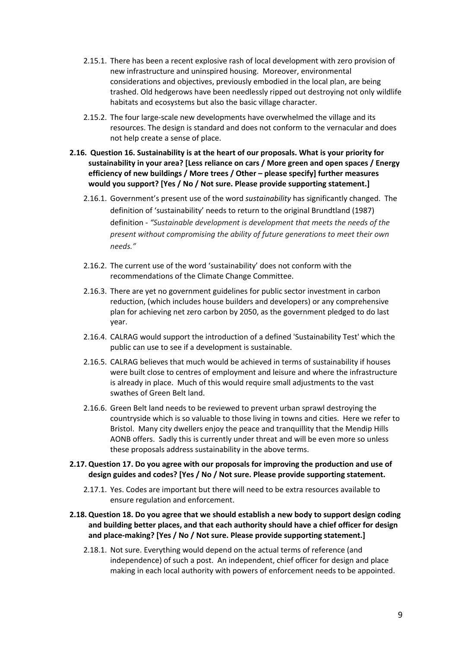- 2.15.1. There has been a recent explosive rash of local development with zero provision of new infrastructure and uninspired housing. Moreover, environmental considerations and objectives, previously embodied in the local plan, are being trashed. Old hedgerows have been needlessly ripped out destroying not only wildlife habitats and ecosystems but also the basic village character.
- 2.15.2. The four large-scale new developments have overwhelmed the village and its resources. The design is standard and does not conform to the vernacular and does not help create a sense of place.
- **2.16. Question 16. Sustainability is at the heart of our proposals. What is your priority for sustainability in your area? [Less reliance on cars / More green and open spaces / Energy efficiency of new buildings / More trees / Other – please specify] further measures would you support? [Yes / No / Not sure. Please provide supporting statement.]**
	- 2.16.1. Government's present use of the word *sustainability* has significantly changed. The definition of 'sustainability' needs to return to the original Brundtland (1987) definition - *"Sustainable development is development that meets the needs of the present without compromising the ability of future generations to meet their own needs."*
	- 2.16.2. The current use of the word 'sustainability' does not conform with the recommendations of the Climate Change Committee.
	- 2.16.3. There are yet no government guidelines for public sector investment in carbon reduction, (which includes house builders and developers) or any comprehensive plan for achieving net zero carbon by 2050, as the government pledged to do last year.
	- 2.16.4. CALRAG would support the introduction of a defined 'Sustainability Test' which the public can use to see if a development is sustainable.
	- 2.16.5. CALRAG believes that much would be achieved in terms of sustainability if houses were built close to centres of employment and leisure and where the infrastructure is already in place. Much of this would require small adjustments to the vast swathes of Green Belt land.
	- 2.16.6. Green Belt land needs to be reviewed to prevent urban sprawl destroying the countryside which is so valuable to those living in towns and cities. Here we refer to Bristol. Many city dwellers enjoy the peace and tranquillity that the Mendip Hills AONB offers. Sadly this is currently under threat and will be even more so unless these proposals address sustainability in the above terms.
- **2.17. Question 17. Do you agree with our proposals for improving the production and use of design guides and codes? [Yes / No / Not sure. Please provide supporting statement.** 
	- 2.17.1. Yes. Codes are important but there will need to be extra resources available to ensure regulation and enforcement.
- **2.18. Question 18. Do you agree that we should establish a new body to support design coding and building better places, and that each authority should have a chief officer for design and place-making? [Yes / No / Not sure. Please provide supporting statement.]**
	- 2.18.1. Not sure. Everything would depend on the actual terms of reference (and independence) of such a post. An independent, chief officer for design and place making in each local authority with powers of enforcement needs to be appointed.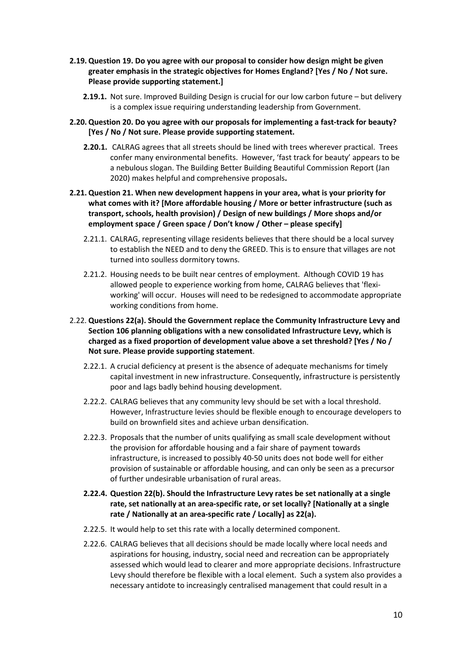- **2.19. Question 19. Do you agree with our proposal to consider how design might be given greater emphasis in the strategic objectives for Homes England? [Yes / No / Not sure. Please provide supporting statement.]**
	- **2.19.1.** Not sure. Improved Building Design is crucial for our low carbon future but delivery is a complex issue requiring understanding leadership from Government.
- **2.20. Question 20. Do you agree with our proposals for implementing a fast-track for beauty? [Yes / No / Not sure. Please provide supporting statement.**
	- **2.20.1.** CALRAG agrees that all streets should be lined with trees wherever practical. Trees confer many environmental benefits. However, 'fast track for beauty' appears to be a nebulous slogan. The Building Better Building Beautiful Commission Report (Jan 2020) makes helpful and comprehensive proposals**.**
- **2.21. Question 21. When new development happens in your area, what is your priority for what comes with it? [More affordable housing / More or better infrastructure (such as transport, schools, health provision) / Design of new buildings / More shops and/or employment space / Green space / Don't know / Other – please specify]**
	- 2.21.1. CALRAG, representing village residents believes that there should be a local survey to establish the NEED and to deny the GREED. This is to ensure that villages are not turned into soulless dormitory towns.
	- 2.21.2. Housing needs to be built near centres of employment. Although COVID 19 has allowed people to experience working from home, CALRAG believes that 'flexiworking' will occur. Houses will need to be redesigned to accommodate appropriate working conditions from home.
- 2.22. **Questions 22(a). Should the Government replace the Community Infrastructure Levy and Section 106 planning obligations with a new consolidated Infrastructure Levy, which is charged as a fixed proportion of development value above a set threshold? [Yes / No / Not sure. Please provide supporting statement**.
	- 2.22.1. A crucial deficiency at present is the absence of adequate mechanisms for timely capital investment in new infrastructure. Consequently, infrastructure is persistently poor and lags badly behind housing development.
	- 2.22.2. CALRAG believes that any community levy should be set with a local threshold. However, Infrastructure levies should be flexible enough to encourage developers to build on brownfield sites and achieve urban densification.
	- 2.22.3. Proposals that the number of units qualifying as small scale development without the provision for affordable housing and a fair share of payment towards infrastructure, is increased to possibly 40-50 units does not bode well for either provision of sustainable or affordable housing, and can only be seen as a precursor of further undesirable urbanisation of rural areas.
	- **2.22.4. Question 22(b). Should the Infrastructure Levy rates be set nationally at a single rate, set nationally at an area-specific rate, or set locally? [Nationally at a single rate / Nationally at an area-specific rate / Locally] as 22(a).**
	- 2.22.5. It would help to set this rate with a locally determined component.
	- 2.22.6. CALRAG believes that all decisions should be made locally where local needs and aspirations for housing, industry, social need and recreation can be appropriately assessed which would lead to clearer and more appropriate decisions. Infrastructure Levy should therefore be flexible with a local element. Such a system also provides a necessary antidote to increasingly centralised management that could result in a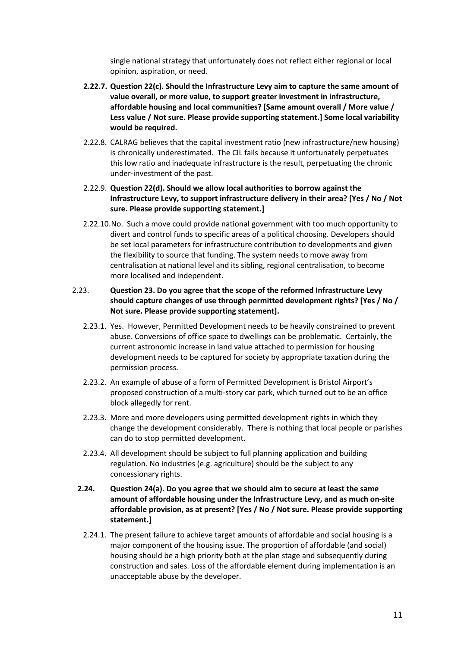single national strategy that unfortunately does not reflect either regional or local opinion, aspiration, or need.

- **2.22.7. Question 22(c). Should the Infrastructure Levy aim to capture the same amount of value overall, or more value, to support greater investment in infrastructure, affordable housing and local communities? [Same amount overall / More value / Less value / Not sure. Please provide supporting statement.] Some local variability would be required.**
- 2.22.8. CALRAG believes that the capital investment ratio (new infrastructure/new housing) is chronically underestimated. The CIL fails because it unfortunately perpetuates this low ratio and inadequate infrastructure is the result, perpetuating the chronic under-investment of the past.
- 2.22.9. **Question 22(d). Should we allow local authorities to borrow against the Infrastructure Levy, to support infrastructure delivery in their area? [Yes / No / Not sure. Please provide supporting statement.]**
- 2.22.10.No. Such a move could provide national government with too much opportunity to divert and control funds to specific areas of a political choosing. Developers should be set local parameters for infrastructure contribution to developments and given the flexibility to source that funding. The system needs to move away from centralisation at national level and its sibling, regional centralisation, to become more localised and independent.

### 2.23. **Question 23. Do you agree that the scope of the reformed Infrastructure Levy should capture changes of use through permitted development rights? [Yes / No / Not sure. Please provide supporting statement].**

- 2.23.1. Yes. However, Permitted Development needs to be heavily constrained to prevent abuse. Conversions of office space to dwellings can be problematic. Certainly, the current astronomic increase in land value attached to permission for housing development needs to be captured for society by appropriate taxation during the permission process.
- 2.23.2. An example of abuse of a form of Permitted Development is Bristol Airport's proposed construction of a multi-story car park, which turned out to be an office block allegedly for rent.
- 2.23.3. More and more developers using permitted development rights in which they change the development considerably. There is nothing that local people or parishes can do to stop permitted development.
- 2.23.4. All development should be subject to full planning application and building regulation. No industries (e.g. agriculture) should be the subject to any concessionary rights.
- **2.24. Question 24(a). Do you agree that we should aim to secure at least the same amount of affordable housing under the Infrastructure Levy, and as much on-site affordable provision, as at present? [Yes / No / Not sure. Please provide supporting statement.]**
	- 2.24.1. The present failure to achieve target amounts of affordable and social housing is a major component of the housing issue. The proportion of affordable (and social) housing should be a high priority both at the plan stage and subsequently during construction and sales. Loss of the affordable element during implementation is an unacceptable abuse by the developer.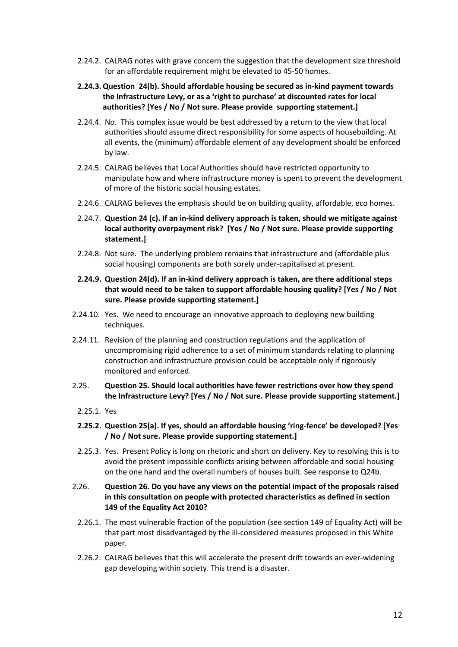- 2.24.2. CALRAG notes with grave concern the suggestion that the development size threshold for an affordable requirement might be elevated to 45-50 homes.
- **2.24.3.Question 24(b). Should affordable housing be secured as in-kind payment towards the Infrastructure Levy, or as a 'right to purchase' at discounted rates for local authorities? [Yes / No / Not sure. Please provide supporting statement.]**
- 2.24.4. No. This complex issue would be best addressed by a return to the view that local authorities should assume direct responsibility for some aspects of housebuilding. At all events, the (minimum) affordable element of any development should be enforced by law.
- 2.24.5. CALRAG believes that Local Authorities should have restricted opportunity to manipulate how and where infrastructure money is spent to prevent the development of more of the historic social housing estates.
- 2.24.6. CALRAG believes the emphasis should be on building quality, affordable, eco homes.
- 2.24.7. **Question 24 (c). If an in-kind delivery approach is taken, should we mitigate against local authority overpayment risk? [Yes / No / Not sure. Please provide supporting statement.]**
- 2.24.8. Not sure. The underlying problem remains that infrastructure and (affordable plus social housing) components are both sorely under-capitalised at present.
- **2.24.9. Question 24(d). If an in-kind delivery approach is taken, are there additional steps that would need to be taken to support affordable housing quality? [Yes / No / Not sure. Please provide supporting statement.]**
- 2.24.10. Yes. We need to encourage an innovative approach to deploying new building techniques.
- 2.24.11. Revision of the planning and construction regulations and the application of uncompromising rigid adherence to a set of minimum standards relating to planning construction and infrastructure provision could be acceptable only if rigorously monitored and enforced.
- 2.25. **Question 25. Should local authorities have fewer restrictions over how they spend the Infrastructure Levy? [Yes / No / Not sure. Please provide supporting statement.]**
	- 2.25.1. Yes
	- **2.25.2. Question 25(a). If yes, should an affordable housing 'ring-fence' be developed? [Yes / No / Not sure. Please provide supporting statement.]**
	- 2.25.3. Yes. Present Policy is long on rhetoric and short on delivery. Key to resolving this is to avoid the present impossible conflicts arising between affordable and social housing on the one hand and the overall numbers of houses built. See response to Q24b.
- 2.26. **Question 26. Do you have any views on the potential impact of the proposals raised in this consultation on people with protected characteristics as defined in section 149 of the Equality Act 2010?**
	- 2.26.1. The most vulnerable fraction of the population (see section 149 of Equality Act) will be that part most disadvantaged by the ill-considered measures proposed in this White paper.
	- 2.26.2. CALRAG believes that this will accelerate the present drift towards an ever-widening gap developing within society. This trend is a disaster.